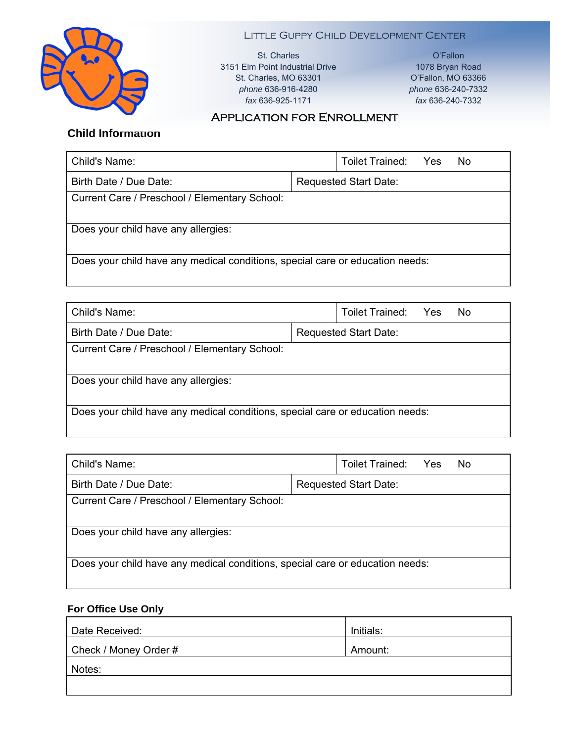

Little Guppy Child Development Center St. Charles

3151 Elm Point Industrial Drive St. Charles, MO 63301 *phone* 636-916-4280 *fax* 636-925-1171

O'Fallon 1078 Bryan Road O'Fallon, MO 63366 *phone* 636-240-7332 *fax* 636-240-7332

## Application for Enrollment

# **Child Information**

| Child's Name:                                                                 |                              | Toilet Trained: | <b>Yes</b> | No. |
|-------------------------------------------------------------------------------|------------------------------|-----------------|------------|-----|
| Birth Date / Due Date:                                                        | <b>Requested Start Date:</b> |                 |            |     |
| Current Care / Preschool / Elementary School:                                 |                              |                 |            |     |
| Does your child have any allergies:                                           |                              |                 |            |     |
| Does your child have any medical conditions, special care or education needs: |                              |                 |            |     |

| Child's Name:                                                                 |                              | Toilet Trained: | <b>Yes</b> | No. |  |
|-------------------------------------------------------------------------------|------------------------------|-----------------|------------|-----|--|
| Birth Date / Due Date:                                                        | <b>Requested Start Date:</b> |                 |            |     |  |
| Current Care / Preschool / Elementary School:                                 |                              |                 |            |     |  |
| Does your child have any allergies:                                           |                              |                 |            |     |  |
| Does your child have any medical conditions, special care or education needs: |                              |                 |            |     |  |

| Child's Name:                                                                 |                              | Toilet Trained: Yes |  | No. |
|-------------------------------------------------------------------------------|------------------------------|---------------------|--|-----|
| Birth Date / Due Date:                                                        | <b>Requested Start Date:</b> |                     |  |     |
| Current Care / Preschool / Elementary School:                                 |                              |                     |  |     |
| Does your child have any allergies:                                           |                              |                     |  |     |
| Does your child have any medical conditions, special care or education needs: |                              |                     |  |     |

### **For Office Use Only**

| Date Received:        | Initials: |
|-----------------------|-----------|
| Check / Money Order # | Amount:   |
| Notes:                |           |
|                       |           |